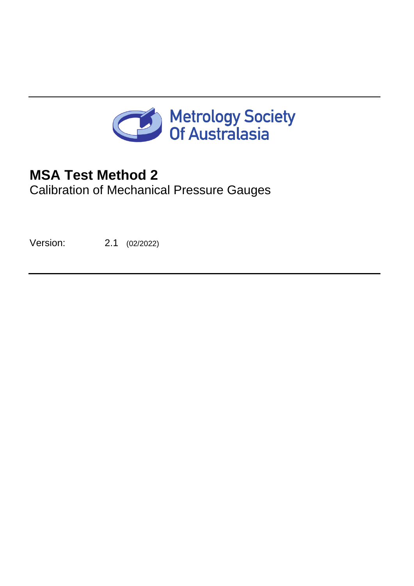

# **MSA Test Method 2**

Calibration of Mechanical Pressure Gauges

<span id="page-0-1"></span><span id="page-0-0"></span>Version: 2.1 (02/2022)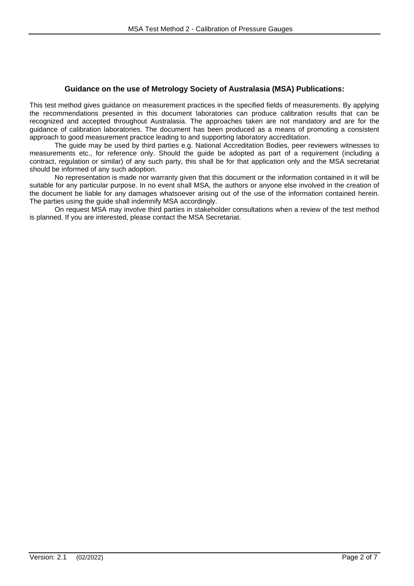#### **Guidance on the use of Metrology Society of Australasia (MSA) Publications:**

This test method gives guidance on measurement practices in the specified fields of measurements. By applying the recommendations presented in this document laboratories can produce calibration results that can be recognized and accepted throughout Australasia. The approaches taken are not mandatory and are for the guidance of calibration laboratories. The document has been produced as a means of promoting a consistent approach to good measurement practice leading to and supporting laboratory accreditation.

The guide may be used by third parties e.g. National Accreditation Bodies, peer reviewers witnesses to measurements etc., for reference only. Should the guide be adopted as part of a requirement (including a contract, regulation or similar) of any such party, this shall be for that application only and the MSA secretariat should be informed of any such adoption.

No representation is made nor warranty given that this document or the information contained in it will be suitable for any particular purpose. In no event shall MSA, the authors or anyone else involved in the creation of the document be liable for any damages whatsoever arising out of the use of the information contained herein. The parties using the guide shall indemnify MSA accordingly.

On request MSA may involve third parties in stakeholder consultations when a review of the test method is planned. If you are interested, please contact the MSA Secretariat.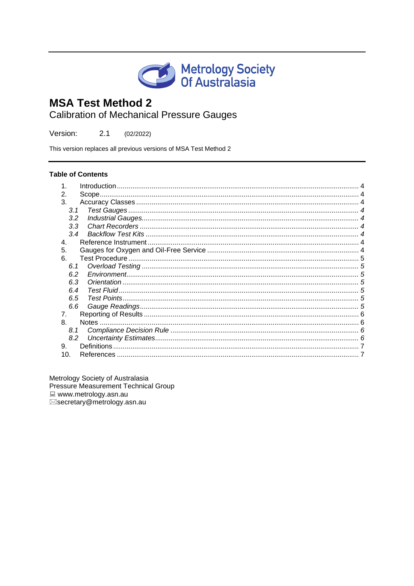

# **MSA Test Method 2**

**Calibration of Mechanical Pressure Gauges** 

Version:  $2.1$  $(02/2022)$ 

This version replaces all previous versions of MSA Test Method 2

#### **Table of Contents**

| 2.                       |  |
|--------------------------|--|
| 3.                       |  |
| 3.1                      |  |
| 3.2                      |  |
| 3.3                      |  |
| 3.4                      |  |
| 4.                       |  |
| 5.                       |  |
| 6.                       |  |
| 6.1                      |  |
| 6.2                      |  |
| 6.3                      |  |
| 6.4                      |  |
| 6.5                      |  |
| 6.6                      |  |
| 7.                       |  |
| 8.                       |  |
| 8.1                      |  |
| 8.2                      |  |
| <b>Definitions</b><br>9. |  |
| 10.                      |  |

Metrology Society of Australasia Pressure Measurement Technical Group  $\Box$  www.metrology.asn.au ⊠secretary@metrology.asn.au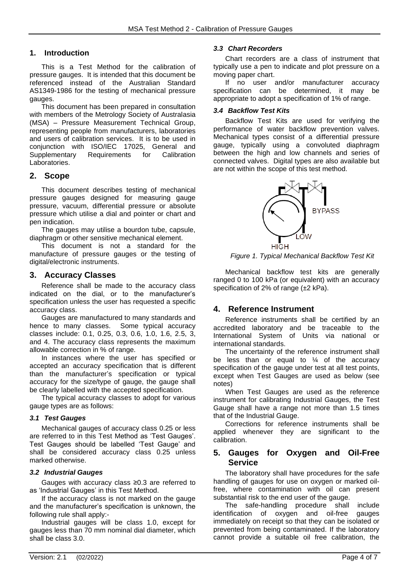#### <span id="page-3-0"></span>**1. Introduction**

This is a Test Method for the calibration of pressure gauges. It is intended that this document be referenced instead of the Australian Standard AS1349-1986 for the testing of mechanical pressure gauges.

This document has been prepared in consultation with members of the Metrology Society of Australasia (MSA) – Pressure Measurement Technical Group, representing people from manufacturers, laboratories and users of calibration services. It is to be used in conjunction with ISO/IEC 17025, General and Supplementary Requirements for Calibration Laboratories.

# <span id="page-3-1"></span>**2. Scope**

This document describes testing of mechanical pressure gauges designed for measuring gauge pressure, vacuum, differential pressure or absolute pressure which utilise a dial and pointer or chart and pen indication.

The gauges may utilise a bourdon tube, capsule, diaphragm or other sensitive mechanical element.

This document is not a standard for the manufacture of pressure gauges or the testing of digital/electronic instruments.

# <span id="page-3-2"></span>**3. Accuracy Classes**

Reference shall be made to the accuracy class indicated on the dial, or to the manufacturer's specification unless the user has requested a specific accuracy class.

Gauges are manufactured to many standards and hence to many classes. Some typical accuracy classes include: 0.1, 0.25, 0.3, 0.6, 1.0, 1.6, 2.5, 3, and 4. The accuracy class represents the maximum allowable correction in % of range.

In instances where the user has specified or accepted an accuracy specification that is different than the manufacturer's specification or typical accuracy for the size/type of gauge, the gauge shall be clearly labelled with the accepted specification.

The typical accuracy classes to adopt for various gauge types are as follows:

#### <span id="page-3-3"></span>*3.1 Test Gauges*

Mechanical gauges of accuracy class 0.25 or less are referred to in this Test Method as 'Test Gauges'. Test Gauges should be labelled 'Test Gauge' and shall be considered accuracy class 0.25 unless marked otherwise.

#### <span id="page-3-4"></span>*3.2 Industrial Gauges*

Gauges with accuracy class ≥0.3 are referred to as 'Industrial Gauges' in this Test Method.

If the accuracy class is not marked on the gauge and the manufacturer's specification is unknown, the following rule shall apply:-

Industrial gauges will be class 1.0, except for gauges less than 70 mm nominal dial diameter, which shall be class 3.0.

#### <span id="page-3-5"></span>*3.3 Chart Recorders*

Chart recorders are a class of instrument that typically use a pen to indicate and plot pressure on a moving paper chart.

If no user and/or manufacturer accuracy specification can be determined, it may be appropriate to adopt a specification of 1% of range.

#### <span id="page-3-6"></span>*3.4 Backflow Test Kits*

Backflow Test Kits are used for verifying the performance of water backflow prevention valves. Mechanical types consist of a differential pressure gauge, typically using a convoluted diaphragm between the high and low channels and series of connected valves. Digital types are also available but are not within the scope of this test method.



*Figure 1. Typical Mechanical Backflow Test Kit*

Mechanical backflow test kits are generally ranged 0 to 100 kPa (or equivalent) with an accuracy specification of 2% of range (±2 kPa).

# <span id="page-3-7"></span>**4. Reference Instrument**

Reference instruments shall be certified by an accredited laboratory and be traceable to the International System of Units via national or international standards.

The uncertainty of the reference instrument shall be less than or equal to  $\frac{1}{4}$  of the accuracy specification of the gauge under test at all test points, except when Test Gauges are used as below (see notes)

When Test Gauges are used as the reference instrument for calibrating Industrial Gauges, the Test Gauge shall have a range not more than 1.5 times that of the Industrial Gauge.

Corrections for reference instruments shall be applied whenever they are significant to the calibration.

# <span id="page-3-8"></span>**5. Gauges for Oxygen and Oil-Free Service**

The laboratory shall have procedures for the safe handling of gauges for use on oxygen or marked oilfree, where contamination with oil can present substantial risk to the end user of the gauge.

The safe-handling procedure shall include identification of oxygen and oil-free gauges immediately on receipt so that they can be isolated or prevented from being contaminated. If the laboratory cannot provide a suitable oil free calibration, the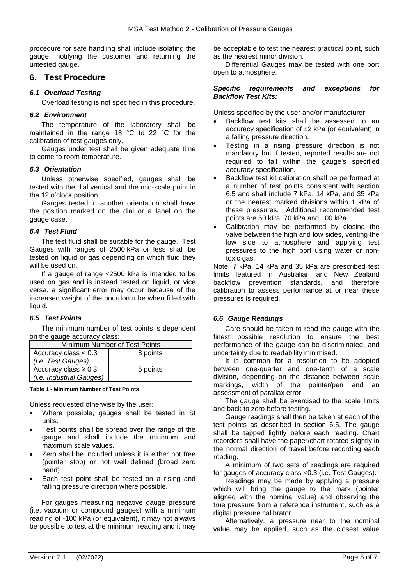procedure for safe handling shall include isolating the gauge, notifying the customer and returning the untested gauge.

# <span id="page-4-0"></span>**6. Test Procedure**

#### <span id="page-4-1"></span>*6.1 Overload Testing*

Overload testing is not specified in this procedure.

#### <span id="page-4-2"></span>*6.2 Environment*

The temperature of the laboratory shall be maintained in the range 18 °C to 22 °C for the calibration of test gauges only.

Gauges under test shall be given adequate time to come to room temperature.

#### <span id="page-4-3"></span>*6.3 Orientation*

Unless otherwise specified, gauges shall be tested with the dial vertical and the mid-scale point in the 12 o'clock position.

Gauges tested in another orientation shall have the position marked on the dial or a label on the gauge case.

#### <span id="page-4-4"></span>*6.4 Test Fluid*

The test fluid shall be suitable for the gauge. Test Gauges with ranges of 2500 kPa or less shall be tested on liquid or gas depending on which fluid they will be used on.

If a gauge of range  $\leq$ 2500 kPa is intended to be used on gas and is instead tested on liquid, or vice versa, a significant error may occur because of the increased weight of the bourdon tube when filled with liquid.

#### <span id="page-4-5"></span>*6.5 Test Points*

The minimum number of test points is dependent on the gauge accuracy class:

| Minimum Number of Test Points |          |  |
|-------------------------------|----------|--|
| Accuracy class $< 0.3$        | 8 points |  |
| (i.e. Test Gauges)            |          |  |
| Accuracy class $\geq 0.3$     | 5 points |  |
| (i.e. Industrial Gauges)      |          |  |

**Table 1 - Minimum Number of Test Points**

Unless requested otherwise by the user:

- Where possible, gauges shall be tested in SI units.
- Test points shall be spread over the range of the gauge and shall include the minimum and maximum scale values.
- Zero shall be included unless it is either not free (pointer stop) or not well defined (broad zero band).
- Each test point shall be tested on a rising and falling pressure direction where possible.

For gauges measuring negative gauge pressure (i.e. vacuum or compound gauges) with a minimum reading of -100 kPa (or equivalent), it may not always be possible to test at the minimum reading and it may

be acceptable to test the nearest practical point, such as the nearest minor division.

Differential Gauges may be tested with one port open to atmosphere.

#### *Specific requirements and exceptions for Backflow Test Kits:*

Unless specified by the user and/or manufacturer:

- Backflow test kits shall be assessed to an accuracy specification of ±2 kPa (or equivalent) in a falling pressure direction.
- Testing in a rising pressure direction is not mandatory but if tested, reported results are not required to fall within the gauge's specified accuracy specification.
- Backflow test kit calibration shall be performed at a number of test points consistent with section 6.5 and shall include 7 kPa, 14 kPa, and 35 kPa or the nearest marked divisions within 1 kPa of these pressures. Additional recommended test points are 50 kPa, 70 kPa and 100 kPa.
- Calibration may be performed by closing the valve between the high and low sides, venting the low side to atmosphere and applying test pressures to the high port using water or nontoxic gas.

Note: 7 kPa, 14 kPa and 35 kPa are prescribed test limits featured in Australian and New Zealand backflow prevention standards, and therefore calibration to assess performance at or near these pressures is required.

# <span id="page-4-6"></span>*6.6 Gauge Readings*

Care should be taken to read the gauge with the finest possible resolution to ensure the best performance of the gauge can be discriminated, and uncertainty due to readability minimised.

It is common for a resolution to be adopted between one-quarter and one-tenth of a scale division, depending on the distance between scale markings, width of the pointer/pen and an assessment of parallax error.

The gauge shall be exercised to the scale limits and back to zero before testing.

Gauge readings shall then be taken at each of the test points as described in section [6.5.](#page-4-5) The gauge shall be tapped lightly before each reading. Chart recorders shall have the paper/chart rotated slightly in the normal direction of travel before recording each reading.

A minimum of two sets of readings are required for gauges of accuracy class <0.3 (i.e. Test Gauges).

Readings may be made by applying a pressure which will bring the gauge to the mark (pointer aligned with the nominal value) and observing the true pressure from a reference instrument, such as a digital pressure calibrator.

Alternatively, a pressure near to the nominal value may be applied, such as the closest value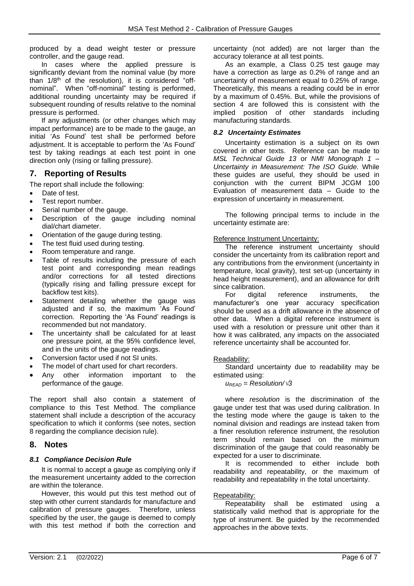produced by a dead weight tester or pressure controller, and the gauge read.

In cases where the applied pressure is significantly deviant from the nominal value (by more than 1/8<sup>th</sup> of the resolution), it is considered "offnominal". When "off-nominal" testing is performed, additional rounding uncertainty may be required if subsequent rounding of results relative to the nominal pressure is performed.

If any adjustments (or other changes which may impact performance) are to be made to the gauge, an initial 'As Found' test shall be performed before adjustment. It is acceptable to perform the 'As Found' test by taking readings at each test point in one direction only (rising or falling pressure).

# <span id="page-5-0"></span>**7. Reporting of Results**

The report shall include the following:

- Date of test.
- Test report number.
- Serial number of the gauge.
- Description of the gauge including nominal dial/chart diameter.
- Orientation of the gauge during testing.
- The test fluid used during testing.
- Room temperature and range.
- Table of results including the pressure of each test point and corresponding mean readings and/or corrections for all tested directions (typically rising and falling pressure except for backflow test kits).
- Statement detailing whether the gauge was adjusted and if so, the maximum 'As Found' correction. Reporting the 'As Found' readings is recommended but not mandatory.
- The uncertainty shall be calculated for at least one pressure point, at the 95% confidence level, and in the units of the gauge readings.
- Conversion factor used if not SI units.
- The model of chart used for chart recorders.
- Any other information important to the performance of the gauge.

The report shall also contain a statement of compliance to this Test Method. The compliance statement shall include a description of the accuracy specification to which it conforms (see notes, section 8 regarding the compliance decision rule).

#### <span id="page-5-1"></span>**8. Notes**

#### <span id="page-5-2"></span>*8.1 Compliance Decision Rule*

It is normal to accept a gauge as complying only if the measurement uncertainty added to the correction are within the tolerance.

However, this would put this test method out of step with other current standards for manufacture and calibration of pressure gauges. Therefore, unless specified by the user, the gauge is deemed to comply with this test method if both the correction and

uncertainty (not added) are not larger than the accuracy tolerance at all test points.

As an example, a Class 0.25 test gauge may have a correction as large as 0.2% of range and an uncertainty of measurement equal to 0.25% of range. Theoretically, this means a reading could be in error by a maximum of 0.45%. But, while the provisions of section 4 are followed this is consistent with the implied position of other standards including manufacturing standards.

#### <span id="page-5-3"></span>*8.2 Uncertainty Estimates*

Uncertainty estimation is a subject on its own covered in other texts. Reference can be made to *MSL Technical Guide 13* or *NMI Monograph 1 – Uncertainty in Measurement: The ISO Guide.* While these guides are useful, they should be used in conjunction with the current BIPM JCGM 100 Evaluation of measurement data – Guide to the expression of uncertainty in measurement.

The following principal terms to include in the uncertainty estimate are:

#### Reference Instrument Uncertainty:

The reference instrument uncertainty should consider the uncertainty from its calibration report and any contributions from the environment (uncertainty in temperature, local gravity), test set-up (uncertainty in head height measurement), and an allowance for drift since calibration.

For digital reference instruments, manufacturer's one year accuracy specification should be used as a drift allowance in the absence of other data. When a digital reference instrument is used with a resolution or pressure unit other than it how it was calibrated, any impacts on the associated reference uncertainty shall be accounted for.

#### Readability:

Standard uncertainty due to readability may be estimated using:

 $u_{\text{READ}} =$  *Resolution*/ $\sqrt{3}$ 

where *resolution* is the discrimination of the gauge under test that was used during calibration. In the testing mode where the gauge is taken to the nominal division and readings are instead taken from a finer resolution reference instrument, the resolution term should remain based on the minimum discrimination of the gauge that could reasonably be expected for a user to discriminate.

It is recommended to either include both readability and repeatability, or the maximum of readability and repeatability in the total uncertainty.

#### Repeatability:

Repeatability shall be estimated using a statistically valid method that is appropriate for the type of instrument. Be guided by the recommended approaches in the above texts.